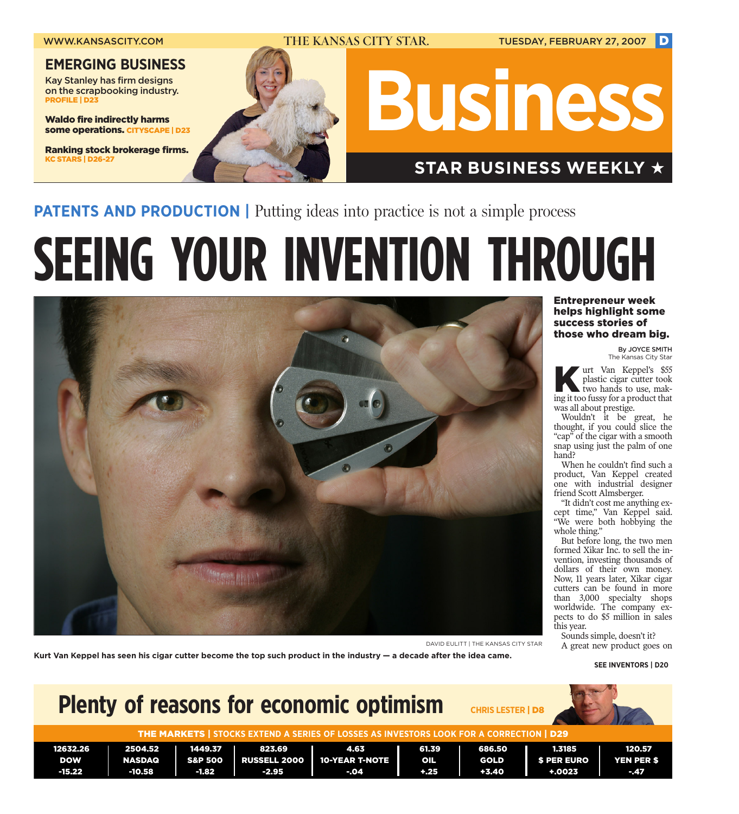

**PATENTS AND PRODUCTION** | Putting ideas into practice is not a simple process

# **SEEING YOUR INVENTION THROUGH**



Entrepreneur week helps highlight some success stories of those who dream big.

> By JOYCE SMITH The Kansas City Star

urt Van Keppel's \$55 plastic cigar cutter took two hands to use, making it too fussy for a product that was all about prestige.

Wouldn't it be great, he thought, if you could slice the "cap" of the cigar with a smooth snap using just the palm of one hand?

When he couldn't find such a product, Van Keppel created one with industrial designer friend Scott Almsberger.

"It didn't cost me anything except time," Van Keppel said. "We were both hobbying the whole thing."

But before long, the two men formed Xikar Inc. to sell the invention, investing thousands of dollars of their own money. Now, 11 years later, Xikar cigar cutters can be found in more than 3,000 specialty shops worldwide. The company expects to do \$5 million in sales this year.

Sounds simple, doesn't it?

**Kurt Van Keppel has seen his cigar cutter become the top such product in the industry — a decade after the idea came.**

**SEE INVENTORS | D20**

### **Plenty of reasons for economic optimism** THE MARKETS | **STOCKS EXTEND A SERIES OF LOSSES AS INVESTORS LOOK FOR A CORRECTION** | D29 12632.26 | 2504.52 | 1449.37 | 823.69 | 4.63 | 61.39 | 686.50 | 1.3185 | 120.57 DOW | NASDAQ | S&P 500 | RUSSELL 2000 | 10-YEAR T-NOTE | OIL | GOLD | \$ PER EURO | YEN PER \$ -15.22 | -10.58 | -1.82 | -2.95 | -.04 | +.25 | +3.40 | +.0023 | -.47 **CHRIS LESTER** | D8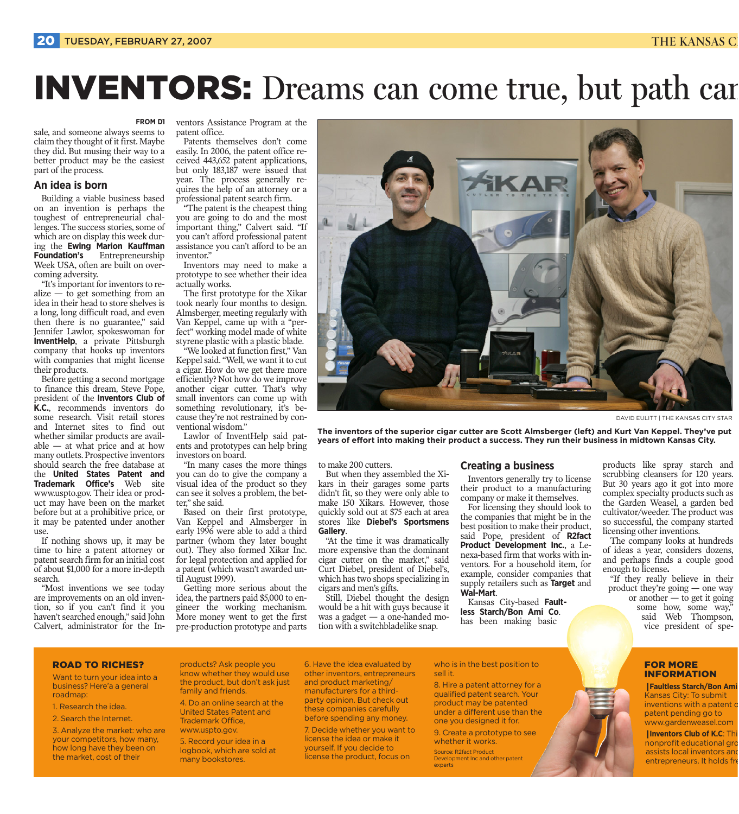## INVENTORS: Dreams can come true, but path can

#### **FROM D1**

sale, and someone always seems to claim they thought of it first. Maybe they did. But musing their way to a better product may be the easiest part of the process.

#### **An idea is born**

Building a viable business based on an invention is perhaps the toughest of entrepreneurial challenges. The success stories, some of which are on display this week during the **Ewing Marion Kauffman Foundation's** Entrepreneurship Week USA, often are built on overcoming adversity.

"It's important for inventors to realize  $-$  to get something from an idea in their head to store shelves is a long, long difficult road, and even then there is no guarantee," said Jennifer Lawlor, spokeswoman for **InventHelp**, a private Pittsburgh company that hooks up inventors with companies that might license their products.

Before getting a second mortgage to finance this dream, Steve Pope, president of the **Inventors Club of K.C.**, recommends inventors do some research. Visit retail stores and Internet sites to find out whether similar products are avail $able - at what price and at how$ many outlets. Prospective inventors should search the free database at the **United States Patent and Trademark Office's** Web site www.uspto.gov. Their idea or product may have been on the market before but at a prohibitive price, or it may be patented under another use.

If nothing shows up, it may be time to hire a patent attorney or patent search firm for an initial cost of about \$1,000 for a more in-depth search.

"Most inventions we see today are improvements on an old invention, so if you can't find it you haven't searched enough," said John Calvert, administrator for the In-

ventors Assistance Program at the patent office.

Patents themselves don't come easily. In 2006, the patent office received 443,652 patent applications, but only 183,187 were issued that year. The process generally requires the help of an attorney or a professional patent search firm.

"The patent is the cheapest thing you are going to do and the most important thing," Calvert said. "If you can't afford professional patent assistance you can't afford to be an inventor."

Inventors may need to make a prototype to see whether their idea actually works.

The first prototype for the Xikar took nearly four months to design. Almsberger, meeting regularly with Van Keppel, came up with a "perfect" working model made of white styrene plastic with a plastic blade.

"We looked at function first," Van Keppel said. "Well, we want it to cut a cigar. How do we get there more efficiently? Not how do we improve another cigar cutter. That's why small inventors can come up with something revolutionary, it's because they're not restrained by conventional wisdom."

Lawlor of InventHelp said patents and prototypes can help bring investors on board.

"In many cases the more things you can do to give the company a visual idea of the product so they can see it solves a problem, the better," she said.

Based on their first prototype, Van Keppel and Almsberger in early 1996 were able to add a third partner (whom they later bought out). They also formed Xikar Inc. for legal protection and applied for a patent (which wasn't awarded until August 1999).

Getting more serious about the idea, the partners paid \$5,000 to engineer the working mechanism. More money went to get the first pre-production prototype and parts



DAVID EULITT | THE KANSAS CITY STAR

**The inventors of the superior cigar cutter are Scott Almsberger (left) and Kurt Van Keppel. They've put years of effort into making their product a success. They run their business in midtown Kansas City.**

to make 200 cutters.

But when they assembled the Xikars in their garages some parts didn't fit, so they were only able to make 150 Xikars. However, those quickly sold out at \$75 each at area stores like **Diebel's Sportsmens Gallery**.

"At the time it was dramatically more expensive than the dominant cigar cutter on the market," said Curt Diebel, president of Diebel's, which has two shops specializing in cigars and men's gifts.

Still, Diebel thought the design would be a hit with guys because it was a gadget — a one-handed motion with a switchbladelike snap.

#### **Creating a business**

Inventors generally try to license their product to a manufacturing company or make it themselves.

For licensing they should look to the companies that might be in the best position to make their product, said Pope, president of **R2fact Product Development Inc.**, a Lenexa-based firm that works with inventors. For a household item, for example, consider companies that supply retailers such as **Target** and **Wal-Mart**.

Kansas City-based **Faultless Starch/Bon Ami Co**. has been making basic

products like spray starch and scrubbing cleansers for 120 years. But 30 years ago it got into more complex specialty products such as the Garden Weasel, a garden bed cultivator/weeder. The product was so successful, the company started licensing other inventions.

The company looks at hundreds of ideas a year, considers dozens, and perhaps finds a couple good enough to license**.**

"If they really believe in their product they're going — one way or another — to get it going

some how, some way," said Web Thompson, vice president of spe-

#### ROAD TO RICHES?

Want to turn your idea into a business? Here'a a general roadmap:

1. Research the idea.

2. Search the Internet.

3. Analyze the market: who are your competitors, how many, how long have they been on the market, cost of their

products? Ask people you know whether they would use the product, but don't ask just family and friends.

4. Do an online search at the United States Patent and Trademark Office, www.uspto.gov.

5. Record your idea in a logbook, which are sold at many bookstores.

6. Have the idea evaluated by other inventors, entrepreneurs and product marketing/ manufacturers for a thirdparty opinion. But check out these companies carefully before spending any money.

7. Decide whether you want to license the idea or make it yourself. If you decide to license the product, focus on

#### who is in the best position to sell it.

8. Hire a patent attorney for a qualified patent search. Your product may be patented under a different use than the one you designed it for.

9. Create a prototype to see whether it works.

Source: R2fact Product Development Inc and other patent experts

#### FOR MORE INFORMATION

❙ **Faultless Starch/Bon Ami**  Kansas City: To submit inventions with a patent o patent pending go to www.gardenweasel.com

❙ **Inventors Club of K.C**: Thi nonprofit educational gro assists local inventors and entrepreneurs. It holds fre